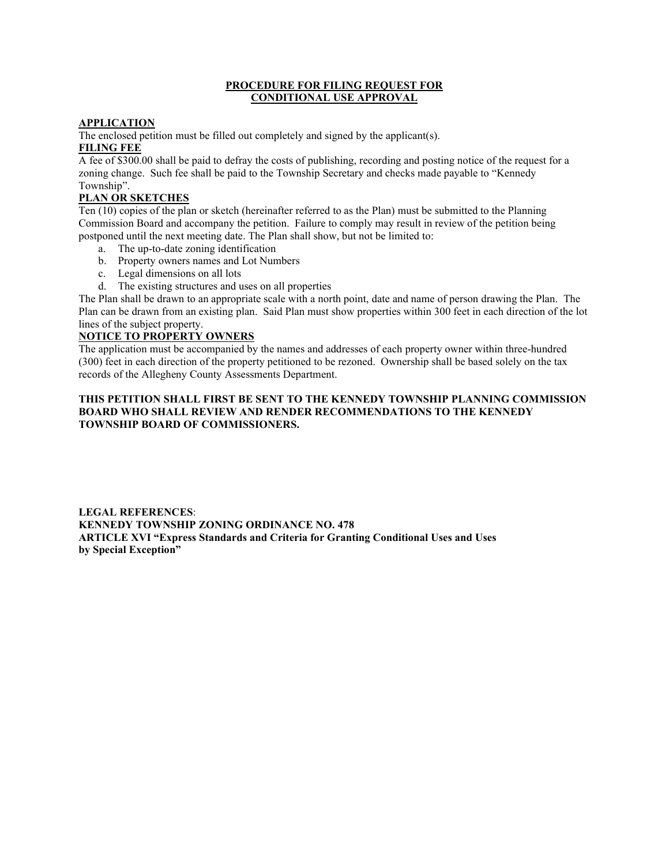#### **PROCEDURE FOR FILING REQUEST FOR CONDITIONAL USE APPROVAL**

### **APPLICATION**

The enclosed petition must be filled out completely and signed by the applicant(s). **FILING FEE**

A fee of \$300.00 shall be paid to defray the costs of publishing, recording and posting notice of the request for a zoning change. Such fee shall be paid to the Township Secretary and checks made payable to "Kennedy Township".

## **PLAN OR SKETCHES**

Ten (10) copies of the plan or sketch (hereinafter referred to as the Plan) must be submitted to the Planning Commission Board and accompany the petition. Failure to comply may result in review of the petition being postponed until the next meeting date. The Plan shall show, but not be limited to:

- a. The up-to-date zoning identification
- b. Property owners names and Lot Numbers
- c. Legal dimensions on all lots
- d. The existing structures and uses on all properties

The Plan shall be drawn to an appropriate scale with a north point, date and name of person drawing the Plan. The Plan can be drawn from an existing plan. Said Plan must show properties within 300 feet in each direction of the lot lines of the subject property.

## **NOTICE TO PROPERTY OWNERS**

The application must be accompanied by the names and addresses of each property owner within three-hundred (300) feet in each direction of the property petitioned to be rezoned. Ownership shall be based solely on the tax records of the Allegheny County Assessments Department.

#### **THIS PETITION SHALL FIRST BE SENT TO THE KENNEDY TOWNSHIP PLANNING COMMISSION BOARD WHO SHALL REVIEW AND RENDER RECOMMENDATIONS TO THE KENNEDY TOWNSHIP BOARD OF COMMISSIONERS.**

**LEGAL REFERENCES**: **KENNEDY TOWNSHIP ZONING ORDINANCE NO. 478 ARTICLE XVI "Express Standards and Criteria for Granting Conditional Uses and Uses by Special Exception"**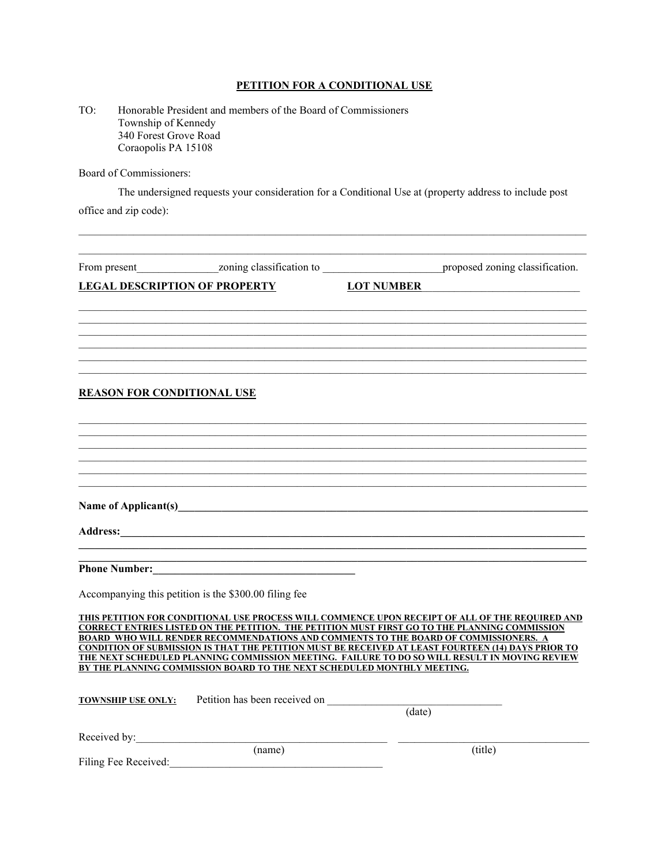## **PETITION FOR A CONDITIONAL USE**

| TO. | Honorable President and members of the Board of Commissioners |
|-----|---------------------------------------------------------------|
|     | Township of Kennedy                                           |
|     | 340 Forest Grove Road                                         |
|     | Coraopolis PA 15108                                           |

Board of Commissioners:

The undersigned requests your consideration for a Conditional Use at (property address to include post

 $\mathcal{L}_\mathcal{L} = \{ \mathcal{L}_\mathcal{L} = \{ \mathcal{L}_\mathcal{L} = \{ \mathcal{L}_\mathcal{L} = \{ \mathcal{L}_\mathcal{L} = \{ \mathcal{L}_\mathcal{L} = \{ \mathcal{L}_\mathcal{L} = \{ \mathcal{L}_\mathcal{L} = \{ \mathcal{L}_\mathcal{L} = \{ \mathcal{L}_\mathcal{L} = \{ \mathcal{L}_\mathcal{L} = \{ \mathcal{L}_\mathcal{L} = \{ \mathcal{L}_\mathcal{L} = \{ \mathcal{L}_\mathcal{L} = \{ \mathcal{L}_\mathcal{$ 

office and zip code):

|                                   | <b>LEGAL DESCRIPTION OF PROPERTY</b>                                                                                                                                                                                           | <b>LOT NUMBER</b>                                                                                                                                                                                                                                                                                                                                                                                                                                                                                     |
|-----------------------------------|--------------------------------------------------------------------------------------------------------------------------------------------------------------------------------------------------------------------------------|-------------------------------------------------------------------------------------------------------------------------------------------------------------------------------------------------------------------------------------------------------------------------------------------------------------------------------------------------------------------------------------------------------------------------------------------------------------------------------------------------------|
|                                   |                                                                                                                                                                                                                                |                                                                                                                                                                                                                                                                                                                                                                                                                                                                                                       |
|                                   |                                                                                                                                                                                                                                |                                                                                                                                                                                                                                                                                                                                                                                                                                                                                                       |
| <b>REASON FOR CONDITIONAL USE</b> |                                                                                                                                                                                                                                |                                                                                                                                                                                                                                                                                                                                                                                                                                                                                                       |
|                                   |                                                                                                                                                                                                                                |                                                                                                                                                                                                                                                                                                                                                                                                                                                                                                       |
|                                   |                                                                                                                                                                                                                                |                                                                                                                                                                                                                                                                                                                                                                                                                                                                                                       |
|                                   | Name of Applicant(s) Manual Contract Contract Applicant Contract Contract Contract Contract Contract Contract Contract Contract Contract Contract Contract Contract Contract Contract Contract Contract Contract Contract Cont |                                                                                                                                                                                                                                                                                                                                                                                                                                                                                                       |
|                                   |                                                                                                                                                                                                                                |                                                                                                                                                                                                                                                                                                                                                                                                                                                                                                       |
|                                   | <u> 1989 - Johann John Stone, markin fan it ferstjer fan de ferstjer fan it ferstjer fan it ferstjer fan it fers</u>                                                                                                           |                                                                                                                                                                                                                                                                                                                                                                                                                                                                                                       |
|                                   | Accompanying this petition is the \$300.00 filing fee                                                                                                                                                                          |                                                                                                                                                                                                                                                                                                                                                                                                                                                                                                       |
|                                   |                                                                                                                                                                                                                                | THIS PETITION FOR CONDITIONAL USE PROCESS WILL COMMENCE UPON RECEIPT OF ALL OF THE REQUIRED AND<br><b>CORRECT ENTRIES LISTED ON THE PETITION. THE PETITION MUST FIRST GO TO THE PLANNING COMMISSION</b><br>BOARD WHO WILL RENDER RECOMMENDATIONS AND COMMENTS TO THE BOARD OF COMMISSIONERS. A<br>CONDITION OF SUBMISSION IS THAT THE PETITION MUST BE RECEIVED AT LEAST FOURTEEN (14) DAYS PRIOR TO<br>THE NEXT SCHEDULED PLANNING COMMISSION MEETING. FAILURE TO DO SO WILL RESULT IN MOVING REVIEW |
|                                   | BY THE PLANNING COMMISSION BOARD TO THE NEXT SCHEDULED MONTHLY MEETING.                                                                                                                                                        |                                                                                                                                                                                                                                                                                                                                                                                                                                                                                                       |
| <b>TOWNSHIP USE ONLY:</b>         | Petition has been received on                                                                                                                                                                                                  | (data)                                                                                                                                                                                                                                                                                                                                                                                                                                                                                                |
| Received by:                      |                                                                                                                                                                                                                                |                                                                                                                                                                                                                                                                                                                                                                                                                                                                                                       |
| Filing Fee Received:              | (name)                                                                                                                                                                                                                         | (title)                                                                                                                                                                                                                                                                                                                                                                                                                                                                                               |